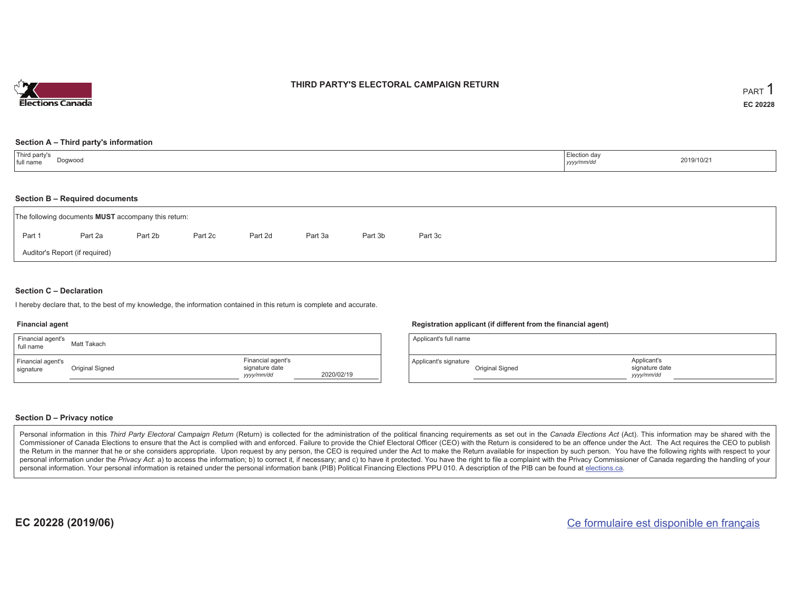

## **THIRD PARTY'S ELECTORAL CAMPAIGN RETURN**

#### **Section A – Third party's information**

| Third party's<br>Election day<br>Dogwood<br>full name<br>yyyy/mm/dd | 2019/10/21 |
|---------------------------------------------------------------------|------------|
|---------------------------------------------------------------------|------------|

#### **Section B – Required documents**

| The following documents MUST accompany this return: |                                |         |         |         |         |         |         |  |  |  |  |
|-----------------------------------------------------|--------------------------------|---------|---------|---------|---------|---------|---------|--|--|--|--|
| Part 1                                              | Part 2a                        | Part 2b | Part 2c | Part 2d | Part 3a | Part 3b | Part 3c |  |  |  |  |
|                                                     | Auditor's Report (if required) |         |         |         |         |         |         |  |  |  |  |

### **Section C – Declaration**

I hereby declare that, to the best of my knowledge, the information contained in this return is complete and accurate.

#### **Financial agent**

| Financial agent's<br>full name | Matt Takach     |                                                  |            |
|--------------------------------|-----------------|--------------------------------------------------|------------|
| Financial agent's<br>signature | Original Signed | Financial agent's<br>signature date<br>yyy/mm/dd | 2020/02/19 |

### **Registration applicant (if different from the financial agent)**

| Applicant's full name |                 |                                             |  |
|-----------------------|-----------------|---------------------------------------------|--|
| Applicant's signature | Original Signed | Applicant's<br>signature date<br>vyyy/mm/dd |  |

### **Section D – Privacy notice**

Personal information in this Third Party Electoral Campaign Return (Return) is collected for the administration of the political financing requirements as set out in the Canada Elections Act (Act). This information may be Commissioner of Canada Elections to ensure that the Act is complied with and enforced. Failure to provide the Chief Electoral Officer (CEO) with the Return is considered to be an offence under the Act. The Act requires the the Return in the manner that he or she considers appropriate. Upon request by any person, the CEO is required under the Act to make the Return available for inspection by such person. You have the following rights with re personal information under the Privacy Act: a) to access the information; b) to correct it, if necessary; and c) to have it protected. You have the right to file a complaint with the Privacy Commissioner of Canada regardin personal information. Your personal information is retained under the personal information bank (PIB) Political Financing Elections PPU 010. A description of the PIB can be found at elections.ca.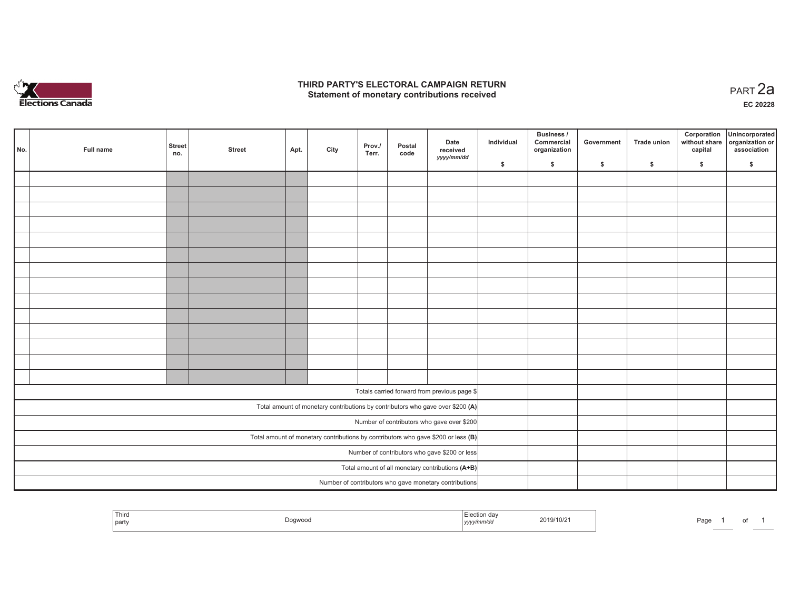

## **THIRD PARTY'S ELECTORAL CAMPAIGN RETURN HIRD PARTY'S ELECTORAL CAMPAIGN RETURN<br>Statement of monetary contributions received PART 2a**

**EC 20228**

| No.                                                                                 | Full name | <b>Street</b><br>no. | <b>Street</b> | Apt. | City | Prov./<br>Terr. | Postal<br>code | Date<br>received<br>yyyy/mm/dd                                                 | Individual | Business /<br>Commercial<br>organization | Government | Trade union | Corporation<br>without share<br>capital | Unincorporated<br>organization or<br>association |
|-------------------------------------------------------------------------------------|-----------|----------------------|---------------|------|------|-----------------|----------------|--------------------------------------------------------------------------------|------------|------------------------------------------|------------|-------------|-----------------------------------------|--------------------------------------------------|
|                                                                                     |           |                      |               |      |      |                 |                |                                                                                | \$         | \$                                       | \$         | \$          | \$                                      | \$                                               |
|                                                                                     |           |                      |               |      |      |                 |                |                                                                                |            |                                          |            |             |                                         |                                                  |
|                                                                                     |           |                      |               |      |      |                 |                |                                                                                |            |                                          |            |             |                                         |                                                  |
|                                                                                     |           |                      |               |      |      |                 |                |                                                                                |            |                                          |            |             |                                         |                                                  |
|                                                                                     |           |                      |               |      |      |                 |                |                                                                                |            |                                          |            |             |                                         |                                                  |
|                                                                                     |           |                      |               |      |      |                 |                |                                                                                |            |                                          |            |             |                                         |                                                  |
|                                                                                     |           |                      |               |      |      |                 |                |                                                                                |            |                                          |            |             |                                         |                                                  |
|                                                                                     |           |                      |               |      |      |                 |                |                                                                                |            |                                          |            |             |                                         |                                                  |
|                                                                                     |           |                      |               |      |      |                 |                |                                                                                |            |                                          |            |             |                                         |                                                  |
|                                                                                     |           |                      |               |      |      |                 |                |                                                                                |            |                                          |            |             |                                         |                                                  |
|                                                                                     |           |                      |               |      |      |                 |                |                                                                                |            |                                          |            |             |                                         |                                                  |
|                                                                                     |           |                      |               |      |      |                 |                |                                                                                |            |                                          |            |             |                                         |                                                  |
|                                                                                     |           |                      |               |      |      |                 |                |                                                                                |            |                                          |            |             |                                         |                                                  |
|                                                                                     |           |                      |               |      |      |                 |                |                                                                                |            |                                          |            |             |                                         |                                                  |
|                                                                                     |           |                      |               |      |      |                 |                |                                                                                |            |                                          |            |             |                                         |                                                  |
|                                                                                     |           |                      |               |      |      |                 |                |                                                                                |            |                                          |            |             |                                         |                                                  |
|                                                                                     |           |                      |               |      |      |                 |                | Totals carried forward from previous page \$                                   |            |                                          |            |             |                                         |                                                  |
|                                                                                     |           |                      |               |      |      |                 |                | Total amount of monetary contributions by contributors who gave over \$200 (A) |            |                                          |            |             |                                         |                                                  |
|                                                                                     |           |                      |               |      |      |                 |                | Number of contributors who gave over \$200                                     |            |                                          |            |             |                                         |                                                  |
| Total amount of monetary contributions by contributors who gave \$200 or less $(B)$ |           |                      |               |      |      |                 |                |                                                                                |            |                                          |            |             |                                         |                                                  |
| Number of contributors who gave \$200 or less                                       |           |                      |               |      |      |                 |                |                                                                                |            |                                          |            |             |                                         |                                                  |
|                                                                                     |           |                      |               |      |      |                 |                | Total amount of all monetary contributions (A+B)                               |            |                                          |            |             |                                         |                                                  |
|                                                                                     |           |                      |               |      |      |                 |                | Number of contributors who gave monetary contributions                         |            |                                          |            |             |                                         |                                                  |

|  | Third<br>' party | uwu.<br>$- - - -$ | ,,,,, | $319/10/2$ . | Page |  | ັ |  |
|--|------------------|-------------------|-------|--------------|------|--|---|--|
|--|------------------|-------------------|-------|--------------|------|--|---|--|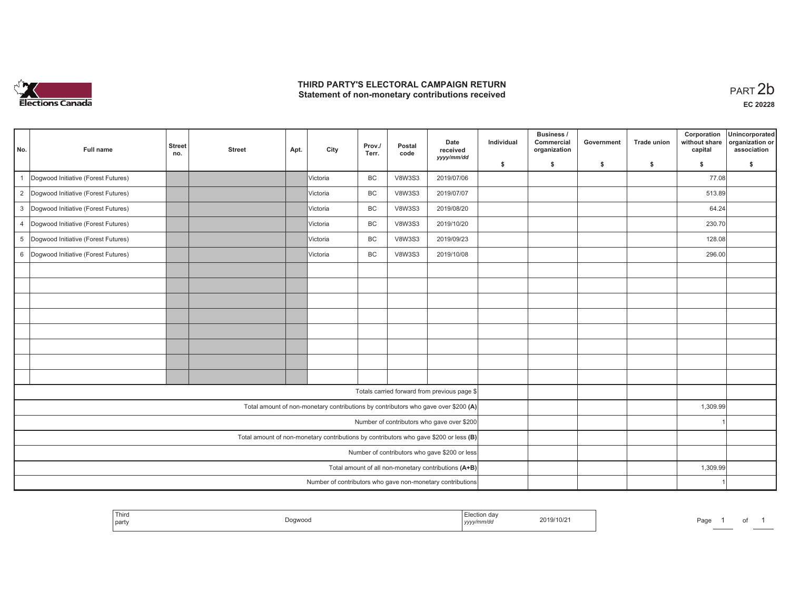

## **THIRD PARTY'S ELECTORAL CAMPAIGN RETURN**  THIRD PARTY'S ELECTORAL CAMPAIGN RETURN<br>Statement of non-monetary contributions received<br> **PART 2b**

| No.            | <b>Full name</b>                                                                        | <b>Street</b><br>no. | <b>Street</b> | Apt. | City      | Prov./<br>Terr. | Postal<br>code | Date<br>received<br>yyyy/mm/dd                                                     | Individual | Business /<br>Commercial<br>organization | Government | <b>Trade union</b> | Corporation<br>without share<br>capital | Unincorporated<br>organization or<br>association |
|----------------|-----------------------------------------------------------------------------------------|----------------------|---------------|------|-----------|-----------------|----------------|------------------------------------------------------------------------------------|------------|------------------------------------------|------------|--------------------|-----------------------------------------|--------------------------------------------------|
|                |                                                                                         |                      |               |      |           |                 |                |                                                                                    | \$         | \$                                       | \$         | $\mathsf{s}$       | \$                                      | \$                                               |
|                | Dogwood Initiative (Forest Futures)                                                     |                      |               |      | Victoria  | BC              | <b>V8W3S3</b>  | 2019/07/06                                                                         |            |                                          |            |                    | 77.08                                   |                                                  |
| $\overline{2}$ | Dogwood Initiative (Forest Futures)                                                     |                      |               |      | Victoria  | <b>BC</b>       | <b>V8W3S3</b>  | 2019/07/07                                                                         |            |                                          |            |                    | 513.89                                  |                                                  |
| 3              | Dogwood Initiative (Forest Futures)                                                     |                      |               |      | Victoria  | <b>BC</b>       | <b>V8W3S3</b>  | 2019/08/20                                                                         |            |                                          |            |                    | 64.24                                   |                                                  |
| $\overline{4}$ | Dogwood Initiative (Forest Futures)                                                     |                      |               |      | IVictoria | <b>BC</b>       | <b>V8W3S3</b>  | 2019/10/20                                                                         |            |                                          |            |                    | 230.70                                  |                                                  |
| 5              | Dogwood Initiative (Forest Futures)                                                     |                      |               |      | Victoria  | BC              | <b>V8W3S3</b>  | 2019/09/23                                                                         |            |                                          |            |                    | 128.08                                  |                                                  |
| 6              | Dogwood Initiative (Forest Futures)                                                     |                      |               |      | Victoria  | BC              | <b>V8W3S3</b>  | 2019/10/08                                                                         |            |                                          |            |                    | 296.00                                  |                                                  |
|                |                                                                                         |                      |               |      |           |                 |                |                                                                                    |            |                                          |            |                    |                                         |                                                  |
|                |                                                                                         |                      |               |      |           |                 |                |                                                                                    |            |                                          |            |                    |                                         |                                                  |
|                |                                                                                         |                      |               |      |           |                 |                |                                                                                    |            |                                          |            |                    |                                         |                                                  |
|                |                                                                                         |                      |               |      |           |                 |                |                                                                                    |            |                                          |            |                    |                                         |                                                  |
|                |                                                                                         |                      |               |      |           |                 |                |                                                                                    |            |                                          |            |                    |                                         |                                                  |
|                |                                                                                         |                      |               |      |           |                 |                |                                                                                    |            |                                          |            |                    |                                         |                                                  |
|                |                                                                                         |                      |               |      |           |                 |                |                                                                                    |            |                                          |            |                    |                                         |                                                  |
|                |                                                                                         |                      |               |      |           |                 |                |                                                                                    |            |                                          |            |                    |                                         |                                                  |
|                |                                                                                         |                      |               |      |           |                 |                | Totals carried forward from previous page \$                                       |            |                                          |            |                    |                                         |                                                  |
|                |                                                                                         |                      |               |      |           |                 |                | Total amount of non-monetary contributions by contributors who gave over \$200 (A) |            |                                          |            |                    | 1,309.99                                |                                                  |
|                |                                                                                         |                      |               |      |           |                 |                | Number of contributors who gave over \$200                                         |            |                                          |            |                    |                                         |                                                  |
|                | Total amount of non-monetary contributions by contributors who gave \$200 or less $(B)$ |                      |               |      |           |                 |                |                                                                                    |            |                                          |            |                    |                                         |                                                  |
|                | Number of contributors who gave \$200 or less                                           |                      |               |      |           |                 |                |                                                                                    |            |                                          |            |                    |                                         |                                                  |
|                |                                                                                         |                      |               |      |           |                 |                | Total amount of all non-monetary contributions (A+B)                               |            |                                          |            |                    | 1,309.99                                |                                                  |
|                |                                                                                         |                      |               |      |           |                 |                | Number of contributors who gave non-monetary contributions                         |            |                                          |            |                    |                                         |                                                  |

| <sup>1</sup> Thiro<br>party | Dogwood | ı uc<br>-------<br>yyyy/mm/da | 2019/10/2 | Page |  |  |
|-----------------------------|---------|-------------------------------|-----------|------|--|--|
|                             |         |                               |           |      |  |  |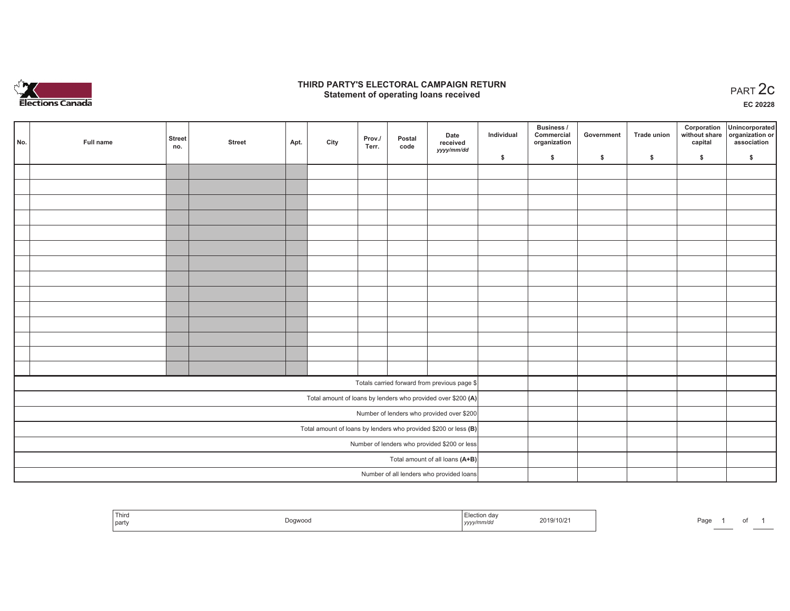

## **THIRD PARTY'S ELECTORAL CAMPAIGN RETURN STATE:** PARTY'S ELECTORAL CAMPAIGN RETURN<br>
Statement of operating loans received

**EC 20228**

| No. | Full name | <b>Street</b><br>no. | <b>Street</b> | Apt. | City | Prov./<br>Terr. | Postal<br>code | Date<br>received                                                  | Individual | Business /<br>Commercial<br>organization | Government | Trade union | Corporation<br>capital | Unincorporated<br>without share organization or<br>association |
|-----|-----------|----------------------|---------------|------|------|-----------------|----------------|-------------------------------------------------------------------|------------|------------------------------------------|------------|-------------|------------------------|----------------------------------------------------------------|
|     |           |                      |               |      |      |                 |                | yyyy/mm/dd                                                        | \$         | \$                                       | \$         | \$          | \$                     | \$                                                             |
|     |           |                      |               |      |      |                 |                |                                                                   |            |                                          |            |             |                        |                                                                |
|     |           |                      |               |      |      |                 |                |                                                                   |            |                                          |            |             |                        |                                                                |
|     |           |                      |               |      |      |                 |                |                                                                   |            |                                          |            |             |                        |                                                                |
|     |           |                      |               |      |      |                 |                |                                                                   |            |                                          |            |             |                        |                                                                |
|     |           |                      |               |      |      |                 |                |                                                                   |            |                                          |            |             |                        |                                                                |
|     |           |                      |               |      |      |                 |                |                                                                   |            |                                          |            |             |                        |                                                                |
|     |           |                      |               |      |      |                 |                |                                                                   |            |                                          |            |             |                        |                                                                |
|     |           |                      |               |      |      |                 |                |                                                                   |            |                                          |            |             |                        |                                                                |
|     |           |                      |               |      |      |                 |                |                                                                   |            |                                          |            |             |                        |                                                                |
|     |           |                      |               |      |      |                 |                |                                                                   |            |                                          |            |             |                        |                                                                |
|     |           |                      |               |      |      |                 |                |                                                                   |            |                                          |            |             |                        |                                                                |
|     |           |                      |               |      |      |                 |                |                                                                   |            |                                          |            |             |                        |                                                                |
|     |           |                      |               |      |      |                 |                |                                                                   |            |                                          |            |             |                        |                                                                |
|     |           |                      |               |      |      |                 |                |                                                                   |            |                                          |            |             |                        |                                                                |
|     |           |                      |               |      |      |                 |                | Totals carried forward from previous page \$                      |            |                                          |            |             |                        |                                                                |
|     |           |                      |               |      |      |                 |                | Total amount of loans by lenders who provided over \$200 (A)      |            |                                          |            |             |                        |                                                                |
|     |           |                      |               |      |      |                 |                | Number of lenders who provided over \$200                         |            |                                          |            |             |                        |                                                                |
|     |           |                      |               |      |      |                 |                | Total amount of loans by lenders who provided \$200 or less $(B)$ |            |                                          |            |             |                        |                                                                |
|     |           |                      |               |      |      |                 |                | Number of lenders who provided \$200 or less                      |            |                                          |            |             |                        |                                                                |
|     |           |                      |               |      |      |                 |                | Total amount of all loans (A+B)                                   |            |                                          |            |             |                        |                                                                |
|     |           |                      |               |      |      |                 |                | Number of all lenders who provided loans                          |            |                                          |            |             |                        |                                                                |

| `Third<br>  party | OOWOG.<br>$\cdot$ | , də·<br>2019/10/2<br>.<br>. | Page<br>$\cdot$ |
|-------------------|-------------------|------------------------------|-----------------|
|-------------------|-------------------|------------------------------|-----------------|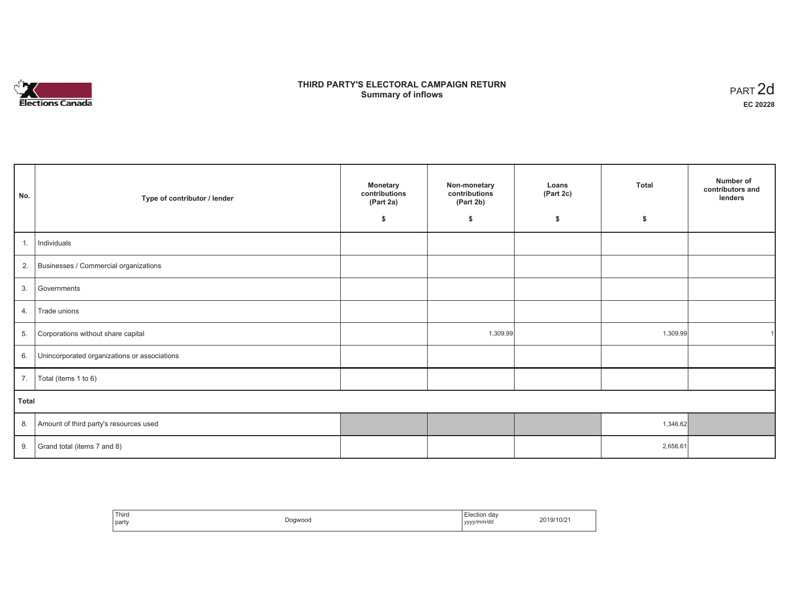

# **THIRD PARTY'S ELECTORAL CAMPAIGN RETURN Summary of inflows** PART 2d

| No.   | Type of contributor / lender                 | <b>Monetary</b><br>contributions<br>(Part 2a) | Non-monetary<br>contributions<br>(Part 2b) | Loans<br>(Part 2c) | <b>Total</b> | Number of<br>contributors and<br>lenders |
|-------|----------------------------------------------|-----------------------------------------------|--------------------------------------------|--------------------|--------------|------------------------------------------|
|       |                                              | \$                                            | \$                                         | \$                 | \$           |                                          |
| 1.    | Individuals                                  |                                               |                                            |                    |              |                                          |
| 2.    | Businesses / Commercial organizations        |                                               |                                            |                    |              |                                          |
| 3.    | Governments                                  |                                               |                                            |                    |              |                                          |
| 4.    | Trade unions                                 |                                               |                                            |                    |              |                                          |
| 5.    | Corporations without share capital           |                                               | 1,309.99                                   |                    | 1,309.99     |                                          |
| 6.    | Unincorporated organizations or associations |                                               |                                            |                    |              |                                          |
| 7.    | Total (items 1 to 6)                         |                                               |                                            |                    |              |                                          |
| Total |                                              |                                               |                                            |                    |              |                                          |
| 8.    | Amount of third party's resources used       |                                               |                                            |                    | 1,346.62     |                                          |
| 9.    | Grand total (items 7 and 8)                  |                                               |                                            |                    | 2,656.61     |                                          |

| Third<br>party | Dogwood | -<br>ection day:<br>yyyy/mm/dd<br>,,,, | 2019/10/21 |
|----------------|---------|----------------------------------------|------------|
|----------------|---------|----------------------------------------|------------|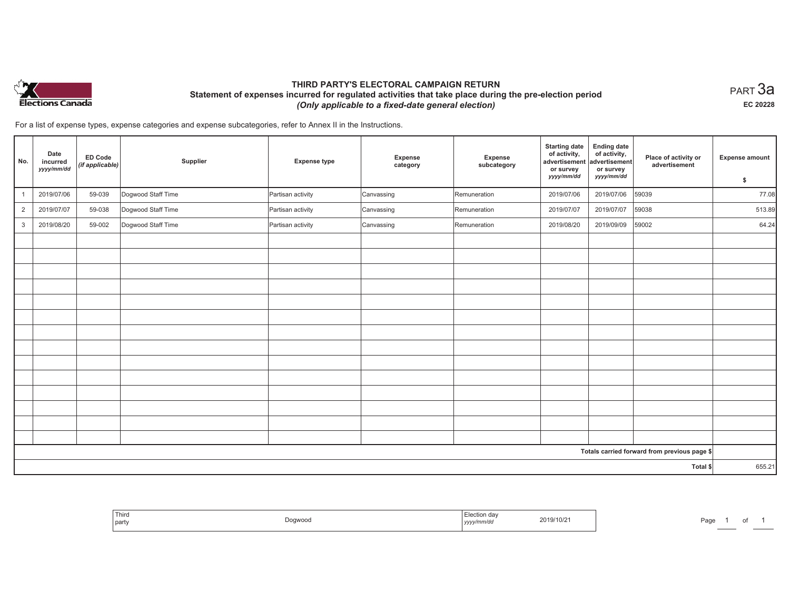

# **THIRD PARTY'S ELECTORAL CAMPAIGN RETURN Statement of expenses incurred for regulated activities that take place during the pre-election period**  *(Only applicable to a fixed-date general election)*

 $_{\sf PART}$ 3a **EC 20228**

For a list of expense types, expense categories and expense subcategories, refer to Annex II in the Instructions.

| No.            | Date<br>incurred<br>yyyy/mm/dd | <b>ED Code</b><br>(if applicable) | Supplier           | <b>Expense type</b> | <b>Expense</b><br>category | Expense<br>subcategory | <b>Starting date</b><br>of activity,<br>advertisement<br>or survey<br>yyyy/mm/dd | <b>Ending date</b><br>of activity,<br>advertisement<br>or survey<br>yyyy/mm/dd | Place of activity or<br>advertisement        | <b>Expense amount</b> |
|----------------|--------------------------------|-----------------------------------|--------------------|---------------------|----------------------------|------------------------|----------------------------------------------------------------------------------|--------------------------------------------------------------------------------|----------------------------------------------|-----------------------|
|                |                                |                                   |                    |                     |                            |                        |                                                                                  |                                                                                |                                              | \$                    |
| $\overline{1}$ | 2019/07/06                     | 59-039                            | Dogwood Staff Time | Partisan activity   | Canvassing                 | Remuneration           | 2019/07/06                                                                       | 2019/07/06                                                                     | 59039                                        | 77.08                 |
| $\overline{2}$ | 2019/07/07                     | 59-038                            | Dogwood Staff Time | Partisan activity   | Canvassing                 | Remuneration           | 2019/07/07                                                                       | 2019/07/07                                                                     | 59038                                        | 513.89                |
| 3              | 2019/08/20                     | 59-002                            | Dogwood Staff Time | Partisan activity   | Canvassing                 | Remuneration           | 2019/08/20                                                                       | 2019/09/09                                                                     | 59002                                        | 64.24                 |
|                |                                |                                   |                    |                     |                            |                        |                                                                                  |                                                                                |                                              |                       |
|                |                                |                                   |                    |                     |                            |                        |                                                                                  |                                                                                |                                              |                       |
|                |                                |                                   |                    |                     |                            |                        |                                                                                  |                                                                                |                                              |                       |
|                |                                |                                   |                    |                     |                            |                        |                                                                                  |                                                                                |                                              |                       |
|                |                                |                                   |                    |                     |                            |                        |                                                                                  |                                                                                |                                              |                       |
|                |                                |                                   |                    |                     |                            |                        |                                                                                  |                                                                                |                                              |                       |
|                |                                |                                   |                    |                     |                            |                        |                                                                                  |                                                                                |                                              |                       |
|                |                                |                                   |                    |                     |                            |                        |                                                                                  |                                                                                |                                              |                       |
|                |                                |                                   |                    |                     |                            |                        |                                                                                  |                                                                                |                                              |                       |
|                |                                |                                   |                    |                     |                            |                        |                                                                                  |                                                                                |                                              |                       |
|                |                                |                                   |                    |                     |                            |                        |                                                                                  |                                                                                |                                              |                       |
|                |                                |                                   |                    |                     |                            |                        |                                                                                  |                                                                                |                                              |                       |
|                |                                |                                   |                    |                     |                            |                        |                                                                                  |                                                                                |                                              |                       |
|                |                                |                                   |                    |                     |                            |                        |                                                                                  |                                                                                |                                              |                       |
|                |                                |                                   |                    |                     |                            |                        |                                                                                  |                                                                                | Totals carried forward from previous page \$ |                       |
|                |                                |                                   |                    |                     |                            |                        |                                                                                  |                                                                                | Total \$                                     | 655.21                |

| $ -$<br>Third<br>part | ገogwoou | .<br>ーッソソン | 2019/10/21 | ാഹ<br>'au |  |  |
|-----------------------|---------|------------|------------|-----------|--|--|
|-----------------------|---------|------------|------------|-----------|--|--|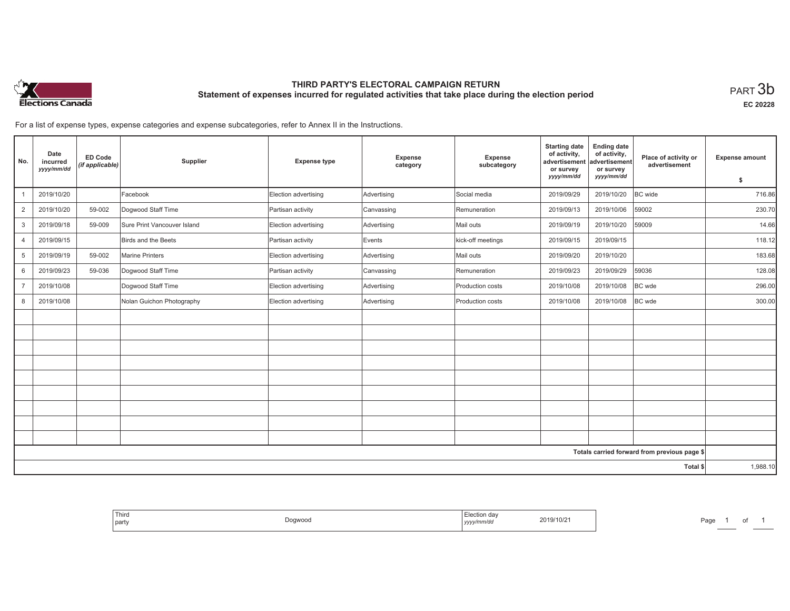

# **THIRD PARTY'S ELECTORAL CAMPAIGN RETURN Statement of expenses incurred for regulated activities that take place during the election period**<br>PART  $3\mathsf{b}$

**EC 20228**

For a list of expense types, expense categories and expense subcategories, refer to Annex II in the Instructions.

| No.            | Date<br>incurred<br>yyyy/mm/dd | <b>ED Code</b><br>(if applicable) | Supplier                    | <b>Expense type</b>  | Expense<br>category | Expense<br>subcategory | <b>Starting date</b><br>of activity,<br>advertisement<br>or survey | <b>Ending date</b><br>of activity,<br>advertisement<br>or survey | Place of activity or<br>advertisement        | <b>Expense amount</b> |
|----------------|--------------------------------|-----------------------------------|-----------------------------|----------------------|---------------------|------------------------|--------------------------------------------------------------------|------------------------------------------------------------------|----------------------------------------------|-----------------------|
|                |                                |                                   |                             |                      |                     |                        | yyyy/mm/dd                                                         | yyyy/mm/dd                                                       |                                              | \$                    |
|                | 2019/10/20                     |                                   | Facebook                    | Election advertising | Advertising         | Social media           | 2019/09/29                                                         | 2019/10/20                                                       | BC wide                                      | 716.86                |
| $\overline{2}$ | 2019/10/20                     | 59-002                            | Dogwood Staff Time          | Partisan activity    | Canvassing          | Remuneration           | 2019/09/13                                                         | 2019/10/06                                                       | 59002                                        | 230.70                |
| 3              | 2019/09/18                     | 59-009                            | Sure Print Vancouver Island | Election advertising | Advertising         | Mail outs              | 2019/09/19                                                         | 2019/10/20                                                       | 59009                                        | 14.66                 |
| $\overline{4}$ | 2019/09/15                     |                                   | Birds and the Beets         | Partisan activity    | Events              | kick-off meetings      | 2019/09/15                                                         | 2019/09/15                                                       |                                              | 118.12                |
| 5              | 2019/09/19                     | 59-002                            | <b>Marine Printers</b>      | Election advertising | Advertising         | Mail outs              | 2019/09/20                                                         | 2019/10/20                                                       |                                              | 183.68                |
| 6              | 2019/09/23                     | 59-036                            | Dogwood Staff Time          | Partisan activity    | Canvassing          | Remuneration           | 2019/09/23                                                         | 2019/09/29                                                       | 59036                                        | 128.08                |
| $\overline{7}$ | 2019/10/08                     |                                   | Dogwood Staff Time          | Election advertising | Advertising         | Production costs       | 2019/10/08                                                         | 2019/10/08                                                       | BC wde                                       | 296.00                |
| 8              | 2019/10/08                     |                                   | Nolan Guichon Photography   | Election advertising | Advertising         | Production costs       | 2019/10/08                                                         | 2019/10/08                                                       | <b>BC</b> wde                                | 300.00                |
|                |                                |                                   |                             |                      |                     |                        |                                                                    |                                                                  |                                              |                       |
|                |                                |                                   |                             |                      |                     |                        |                                                                    |                                                                  |                                              |                       |
|                |                                |                                   |                             |                      |                     |                        |                                                                    |                                                                  |                                              |                       |
|                |                                |                                   |                             |                      |                     |                        |                                                                    |                                                                  |                                              |                       |
|                |                                |                                   |                             |                      |                     |                        |                                                                    |                                                                  |                                              |                       |
|                |                                |                                   |                             |                      |                     |                        |                                                                    |                                                                  |                                              |                       |
|                |                                |                                   |                             |                      |                     |                        |                                                                    |                                                                  |                                              |                       |
|                |                                |                                   |                             |                      |                     |                        |                                                                    |                                                                  |                                              |                       |
|                |                                |                                   |                             |                      |                     |                        |                                                                    |                                                                  |                                              |                       |
|                |                                |                                   |                             |                      |                     |                        |                                                                    |                                                                  | Totals carried forward from previous page \$ |                       |
|                |                                |                                   |                             |                      |                     |                        |                                                                    |                                                                  | Total \$                                     | 1,988.10              |

| Third<br>Election dav<br>2019/10/21<br>Dogwood<br>  party<br>∵/mm/da<br>, уууу , , |
|------------------------------------------------------------------------------------|
|------------------------------------------------------------------------------------|

Page 1 of